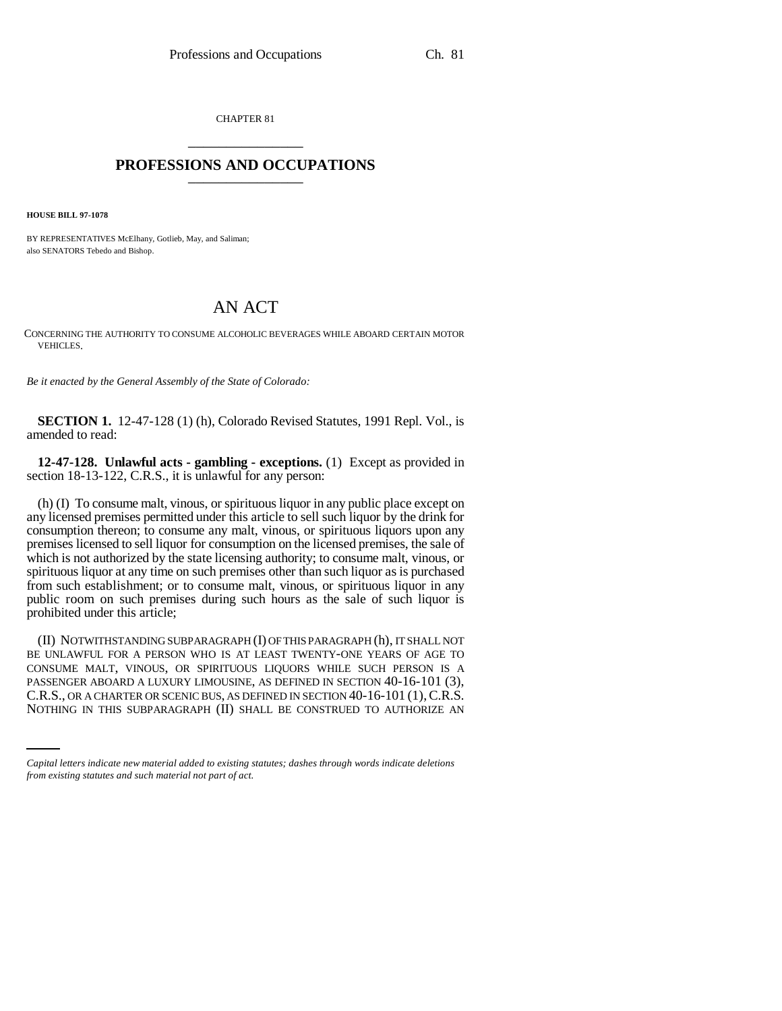CHAPTER 81 \_\_\_\_\_\_\_\_\_\_\_\_\_\_\_

## **PROFESSIONS AND OCCUPATIONS** \_\_\_\_\_\_\_\_\_\_\_\_\_\_\_

**HOUSE BILL 97-1078**

BY REPRESENTATIVES McElhany, Gotlieb, May, and Saliman; also SENATORS Tebedo and Bishop.

## AN ACT

CONCERNING THE AUTHORITY TO CONSUME ALCOHOLIC BEVERAGES WHILE ABOARD CERTAIN MOTOR VEHICLES.

*Be it enacted by the General Assembly of the State of Colorado:*

**SECTION 1.** 12-47-128 (1) (h), Colorado Revised Statutes, 1991 Repl. Vol., is amended to read:

**12-47-128. Unlawful acts - gambling - exceptions.** (1) Except as provided in section 18-13-122, C.R.S., it is unlawful for any person:

(h) (I) To consume malt, vinous, or spirituous liquor in any public place except on any licensed premises permitted under this article to sell such liquor by the drink for consumption thereon; to consume any malt, vinous, or spirituous liquors upon any premises licensed to sell liquor for consumption on the licensed premises, the sale of which is not authorized by the state licensing authority; to consume malt, vinous, or spirituous liquor at any time on such premises other than such liquor as is purchased from such establishment; or to consume malt, vinous, or spirituous liquor in any public room on such premises during such hours as the sale of such liquor is prohibited under this article;

PASSENGER ABOARD A LUXURY LIMOUSINE, AS DEFINED IN SECTION 40-16-101 (3), (II) NOTWITHSTANDING SUBPARAGRAPH (I) OF THIS PARAGRAPH (h), IT SHALL NOT BE UNLAWFUL FOR A PERSON WHO IS AT LEAST TWENTY-ONE YEARS OF AGE TO CONSUME MALT, VINOUS, OR SPIRITUOUS LIQUORS WHILE SUCH PERSON IS A C.R.S., OR A CHARTER OR SCENIC BUS, AS DEFINED IN SECTION 40-16-101 (1), C.R.S. NOTHING IN THIS SUBPARAGRAPH (II) SHALL BE CONSTRUED TO AUTHORIZE AN

*Capital letters indicate new material added to existing statutes; dashes through words indicate deletions from existing statutes and such material not part of act.*